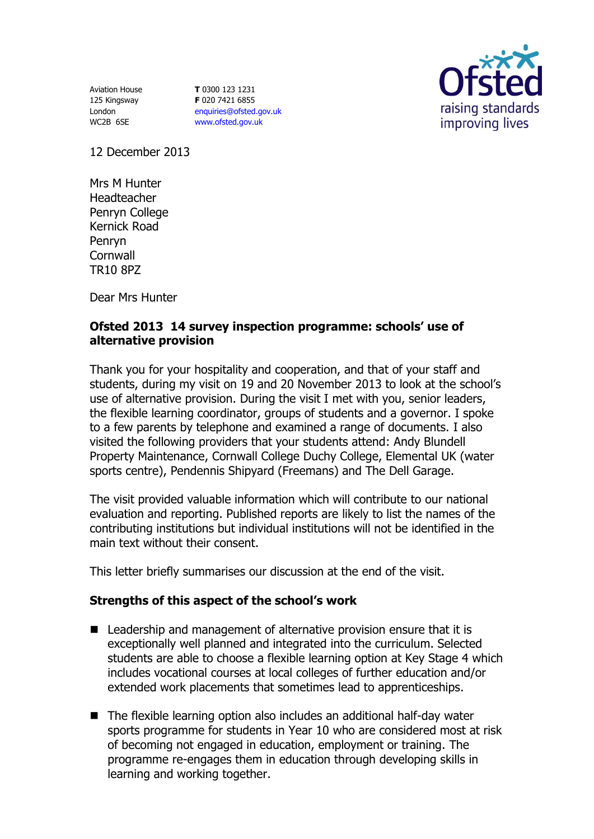Aviation House 125 Kingsway London WC2B 6SE

**T** 0300 123 1231 **F** 020 7421 6855 [enquiries@ofsted.gov.uk](mailto:enquiries@ofsted.gov.uk) [www.ofsted.gov.uk](http://www.ofsted.gov.uk/)



12 December 2013

Mrs M Hunter Headteacher Penryn College Kernick Road Penryn **Cornwall** TR10 8PZ

Dear Mrs Hunter

## **Ofsted 2013 14 survey inspection programme: schools' use of alternative provision**

Thank you for your hospitality and cooperation, and that of your staff and students, during my visit on 19 and 20 November 2013 to look at the school's use of alternative provision. During the visit I met with you, senior leaders, the flexible learning coordinator, groups of students and a governor. I spoke to a few parents by telephone and examined a range of documents. I also visited the following providers that your students attend: Andy Blundell Property Maintenance, Cornwall College Duchy College, Elemental UK (water sports centre), Pendennis Shipyard (Freemans) and The Dell Garage.

The visit provided valuable information which will contribute to our national evaluation and reporting. Published reports are likely to list the names of the contributing institutions but individual institutions will not be identified in the main text without their consent.

This letter briefly summarises our discussion at the end of the visit.

## **Strengths of this aspect of the school's work**

- Leadership and management of alternative provision ensure that it is exceptionally well planned and integrated into the curriculum. Selected students are able to choose a flexible learning option at Key Stage 4 which includes vocational courses at local colleges of further education and/or extended work placements that sometimes lead to apprenticeships.
- The flexible learning option also includes an additional half-day water sports programme for students in Year 10 who are considered most at risk of becoming not engaged in education, employment or training. The programme re-engages them in education through developing skills in learning and working together.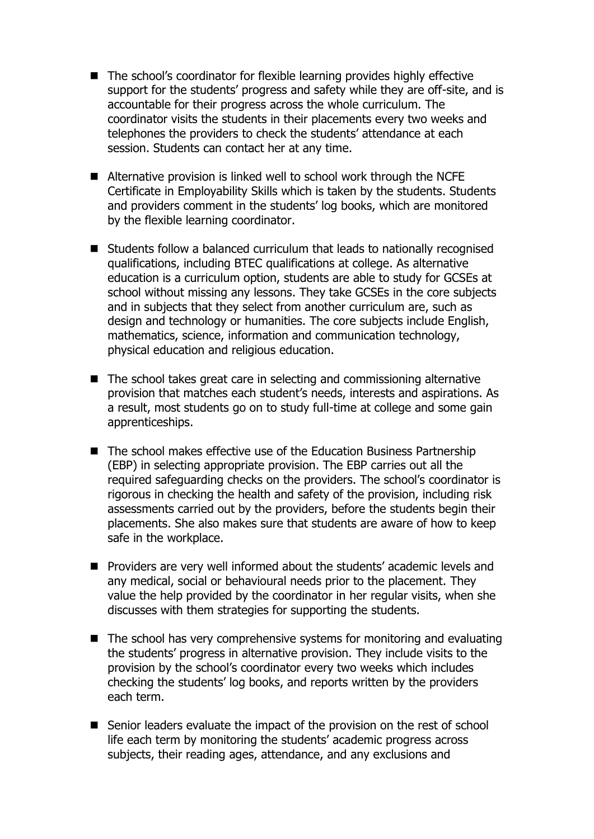- The school's coordinator for flexible learning provides highly effective support for the students' progress and safety while they are off-site, and is accountable for their progress across the whole curriculum. The coordinator visits the students in their placements every two weeks and telephones the providers to check the students' attendance at each session. Students can contact her at any time.
- Alternative provision is linked well to school work through the NCFE Certificate in Employability Skills which is taken by the students. Students and providers comment in the students' log books, which are monitored by the flexible learning coordinator.
- Students follow a balanced curriculum that leads to nationally recognised qualifications, including BTEC qualifications at college. As alternative education is a curriculum option, students are able to study for GCSEs at school without missing any lessons. They take GCSEs in the core subjects and in subjects that they select from another curriculum are, such as design and technology or humanities. The core subjects include English, mathematics, science, information and communication technology, physical education and religious education.
- The school takes great care in selecting and commissioning alternative provision that matches each student's needs, interests and aspirations. As a result, most students go on to study full-time at college and some gain apprenticeships.
- The school makes effective use of the Education Business Partnership (EBP) in selecting appropriate provision. The EBP carries out all the required safeguarding checks on the providers. The school's coordinator is rigorous in checking the health and safety of the provision, including risk assessments carried out by the providers, before the students begin their placements. She also makes sure that students are aware of how to keep safe in the workplace.
- **Providers are very well informed about the students' academic levels and** any medical, social or behavioural needs prior to the placement. They value the help provided by the coordinator in her regular visits, when she discusses with them strategies for supporting the students.
- $\blacksquare$  The school has very comprehensive systems for monitoring and evaluating the students' progress in alternative provision. They include visits to the provision by the school's coordinator every two weeks which includes checking the students' log books, and reports written by the providers each term.
- Senior leaders evaluate the impact of the provision on the rest of school life each term by monitoring the students' academic progress across subjects, their reading ages, attendance, and any exclusions and